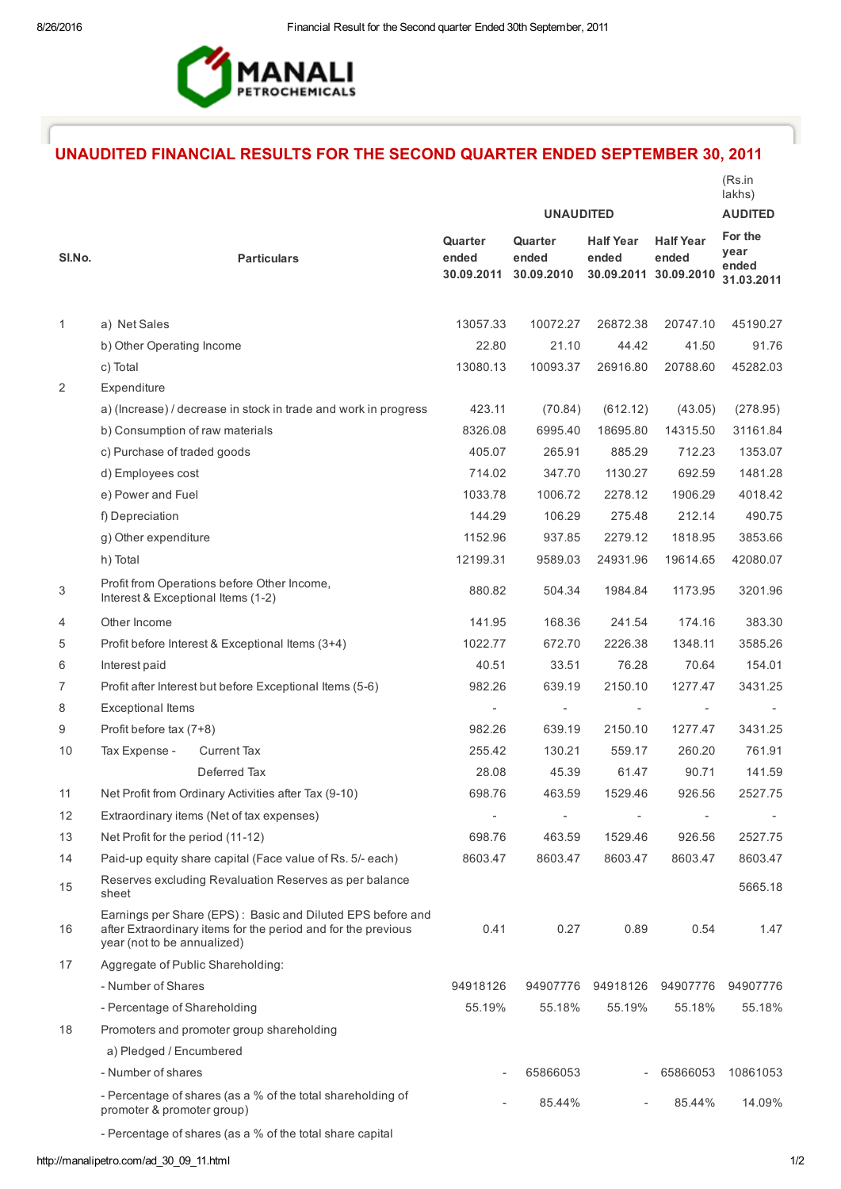

## UNAUDITED FINANCIAL RESULTS FOR THE SECOND QUARTER ENDED SEPTEMBER 30, 2011

|              |                                                                                                                                                            | <b>UNAUDITED</b>               |                                |                           | (Rs.in<br>lakhs)<br><b>AUDITED</b>                 |                                        |
|--------------|------------------------------------------------------------------------------------------------------------------------------------------------------------|--------------------------------|--------------------------------|---------------------------|----------------------------------------------------|----------------------------------------|
| SI.No.       | <b>Particulars</b>                                                                                                                                         | Quarter<br>ended<br>30.09.2011 | Quarter<br>ended<br>30.09.2010 | <b>Half Year</b><br>ended | <b>Half Year</b><br>ended<br>30.09.2011 30.09.2010 | For the<br>year<br>ended<br>31.03.2011 |
| $\mathbf{1}$ | a) Net Sales                                                                                                                                               | 13057.33                       | 10072.27                       | 26872.38                  | 20747.10                                           | 45190.27                               |
|              | b) Other Operating Income                                                                                                                                  | 22.80                          | 21.10                          | 44.42                     | 41.50                                              | 91.76                                  |
|              | c) Total                                                                                                                                                   | 13080.13                       | 10093.37                       | 26916.80                  | 20788.60                                           | 45282.03                               |
| 2            | Expenditure                                                                                                                                                |                                |                                |                           |                                                    |                                        |
|              | a) (Increase) / decrease in stock in trade and work in progress                                                                                            | 423.11                         | (70.84)                        | (612.12)                  | (43.05)                                            | (278.95)                               |
|              | b) Consumption of raw materials                                                                                                                            | 8326.08                        | 6995.40                        | 18695.80                  | 14315.50                                           | 31161.84                               |
|              | c) Purchase of traded goods                                                                                                                                | 405.07                         | 265.91                         | 885.29                    | 712.23                                             | 1353.07                                |
|              | d) Employees cost                                                                                                                                          | 714.02                         | 347.70                         | 1130.27                   | 692.59                                             | 1481.28                                |
|              | e) Power and Fuel                                                                                                                                          | 1033.78                        | 1006.72                        | 2278.12                   | 1906.29                                            | 4018.42                                |
|              | f) Depreciation                                                                                                                                            | 144.29                         | 106.29                         | 275.48                    | 212.14                                             | 490.75                                 |
|              | g) Other expenditure                                                                                                                                       | 1152.96                        | 937.85                         | 2279.12                   | 1818.95                                            | 3853.66                                |
|              | h) Total                                                                                                                                                   | 12199.31                       | 9589.03                        | 24931.96                  | 19614.65                                           | 42080.07                               |
| 3            | Profit from Operations before Other Income,<br>Interest & Exceptional Items (1-2)                                                                          | 880.82                         | 504.34                         | 1984.84                   | 1173.95                                            | 3201.96                                |
| 4            | Other Income                                                                                                                                               | 141.95                         | 168.36                         | 241.54                    | 174.16                                             | 383.30                                 |
| 5            | Profit before Interest & Exceptional Items (3+4)                                                                                                           | 1022.77                        | 672.70                         | 2226.38                   | 1348.11                                            | 3585.26                                |
| 6            | Interest paid                                                                                                                                              | 40.51                          | 33.51                          | 76.28                     | 70.64                                              | 154.01                                 |
| 7            | Profit after Interest but before Exceptional Items (5-6)                                                                                                   | 982.26                         | 639.19                         | 2150.10                   | 1277.47                                            | 3431.25                                |
| 8            | <b>Exceptional Items</b>                                                                                                                                   | $\overline{\phantom{0}}$       | $\qquad \qquad \blacksquare$   | $\overline{\phantom{a}}$  | $\qquad \qquad \blacksquare$                       |                                        |
| 9            | Profit before tax (7+8)                                                                                                                                    | 982.26                         | 639.19                         | 2150.10                   | 1277.47                                            | 3431.25                                |
| 10           | Tax Expense -<br><b>Current Tax</b>                                                                                                                        | 255.42                         | 130.21                         | 559.17                    | 260.20                                             | 761.91                                 |
|              | Deferred Tax                                                                                                                                               | 28.08                          | 45.39                          | 61.47                     | 90.71                                              | 141.59                                 |
| 11           | Net Profit from Ordinary Activities after Tax (9-10)                                                                                                       | 698.76                         | 463.59                         | 1529.46                   | 926.56                                             | 2527.75                                |
| 12           | Extraordinary items (Net of tax expenses)                                                                                                                  | L,                             |                                |                           |                                                    |                                        |
| 13           | Net Profit for the period (11-12)                                                                                                                          | 698.76                         | 463.59                         | 1529.46                   | 926.56                                             | 2527.75                                |
| 14           | Paid-up equity share capital (Face value of Rs. 5/- each)                                                                                                  | 8603.47                        | 8603.47                        | 8603.47                   | 8603.47                                            | 8603.47                                |
| 15           | Reserves excluding Revaluation Reserves as per balance<br>sheet                                                                                            |                                |                                |                           |                                                    | 5665.18                                |
| 16           | Earnings per Share (EPS): Basic and Diluted EPS before and<br>after Extraordinary items for the period and for the previous<br>year (not to be annualized) | 0.41                           | 0.27                           | 0.89                      | 0.54                                               | 1.47                                   |
| 17           | Aggregate of Public Shareholding:                                                                                                                          |                                |                                |                           |                                                    |                                        |
|              | - Number of Shares                                                                                                                                         | 94918126                       | 94907776                       | 94918126                  | 94907776                                           | 94907776                               |
|              | - Percentage of Shareholding                                                                                                                               | 55.19%                         | 55.18%                         | 55.19%                    | 55.18%                                             | 55.18%                                 |
| 18           | Promoters and promoter group shareholding                                                                                                                  |                                |                                |                           |                                                    |                                        |
|              | a) Pledged / Encumbered                                                                                                                                    |                                |                                |                           |                                                    |                                        |
|              | - Number of shares                                                                                                                                         |                                | 65866053                       |                           | 65866053                                           | 10861053                               |
|              | - Percentage of shares (as a % of the total shareholding of<br>promoter & promoter group)                                                                  |                                | 85.44%                         |                           | 85.44%                                             | 14.09%                                 |
|              | - Percentage of shares (as a % of the total share capital                                                                                                  |                                |                                |                           |                                                    |                                        |